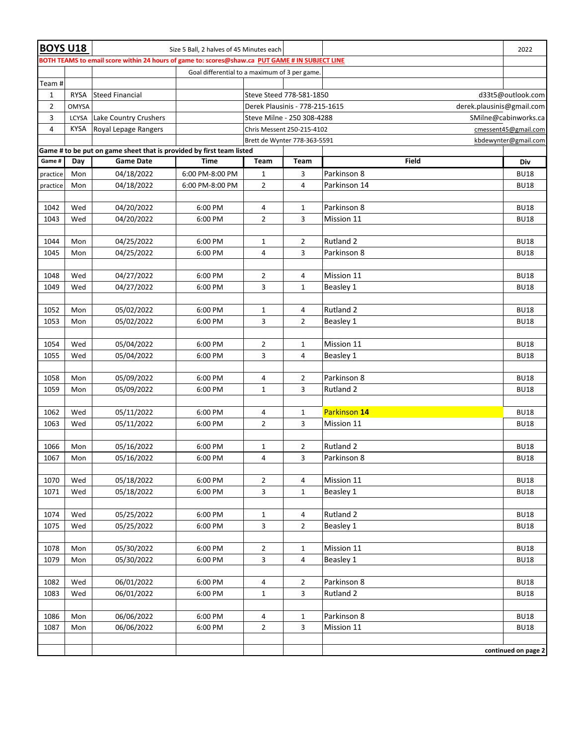| <b>BOYS U18</b>                                                                                                              |              |                        | Size 5 Ball, 2 halves of 45 Minutes each                    |                                                    |                     |                          | 2022                       |  |  |  |  |
|------------------------------------------------------------------------------------------------------------------------------|--------------|------------------------|-------------------------------------------------------------|----------------------------------------------------|---------------------|--------------------------|----------------------------|--|--|--|--|
| BOTH TEAMS to email score within 24 hours of game to: scores@shaw.ca PUT GAME # IN SUBJECT LINE                              |              |                        |                                                             |                                                    |                     |                          |                            |  |  |  |  |
|                                                                                                                              |              |                        | Goal differential to a maximum of 3 per game.               |                                                    |                     |                          |                            |  |  |  |  |
| Team #                                                                                                                       |              |                        |                                                             |                                                    |                     |                          |                            |  |  |  |  |
| $\mathbf{1}$                                                                                                                 | <b>RYSA</b>  | <b>Steed Financial</b> | Steve Steed 778-581-1850<br>d33t5@outlook.com               |                                                    |                     |                          |                            |  |  |  |  |
| $\overline{2}$                                                                                                               | <b>OMYSA</b> |                        | derek.plausinis@gmail.com<br>Derek Plausinis - 778-215-1615 |                                                    |                     |                          |                            |  |  |  |  |
| 3                                                                                                                            | LCYSA        | Lake Country Crushers  | Steve Milne - 250 308-4288<br>SMilne@cabinworks.ca          |                                                    |                     |                          |                            |  |  |  |  |
| $\overline{4}$                                                                                                               | <b>KYSA</b>  | Royal Lepage Rangers   |                                                             | Chris Messent 250-215-4102<br>cmessent45@gmail.com |                     |                          |                            |  |  |  |  |
| kbdewynter@gmail.com<br>Brett de Wynter 778-363-5591<br>Game # to be put on game sheet that is provided by first team listed |              |                        |                                                             |                                                    |                     |                          |                            |  |  |  |  |
|                                                                                                                              |              |                        |                                                             |                                                    |                     |                          |                            |  |  |  |  |
| Game #                                                                                                                       | Day          | <b>Game Date</b>       | <b>Time</b>                                                 | Team                                               | Team                | Field                    | Div                        |  |  |  |  |
| practice                                                                                                                     | Mon          | 04/18/2022             | 6:00 PM-8:00 PM                                             | $\mathbf{1}$                                       | 3                   | Parkinson 8              | <b>BU18</b>                |  |  |  |  |
| practice                                                                                                                     | Mon          | 04/18/2022             | 6:00 PM-8:00 PM                                             | $\overline{2}$                                     | 4                   | Parkinson 14             | <b>BU18</b>                |  |  |  |  |
| 1042                                                                                                                         | Wed          | 04/20/2022             | 6:00 PM                                                     | 4                                                  | $\mathbf 1$         | Parkinson 8              | <b>BU18</b>                |  |  |  |  |
| 1043                                                                                                                         | Wed          | 04/20/2022             | 6:00 PM                                                     | $\overline{2}$                                     | 3                   | Mission 11               | <b>BU18</b>                |  |  |  |  |
|                                                                                                                              |              |                        |                                                             |                                                    |                     |                          |                            |  |  |  |  |
| 1044                                                                                                                         | Mon          | 04/25/2022             | 6:00 PM                                                     | $\mathbf{1}$                                       | $\overline{2}$      | Rutland 2                | <b>BU18</b>                |  |  |  |  |
| 1045                                                                                                                         | Mon          | 04/25/2022             | 6:00 PM                                                     | $\overline{4}$                                     | 3                   | Parkinson 8              | <b>BU18</b>                |  |  |  |  |
|                                                                                                                              |              |                        |                                                             |                                                    |                     |                          |                            |  |  |  |  |
| 1048                                                                                                                         | Wed          | 04/27/2022             | 6:00 PM                                                     | $\overline{2}$                                     | 4                   | Mission 11               | <b>BU18</b>                |  |  |  |  |
| 1049                                                                                                                         | Wed          | 04/27/2022             | 6:00 PM                                                     | 3                                                  | $\mathbf{1}$        | Beasley 1                | <b>BU18</b>                |  |  |  |  |
|                                                                                                                              |              |                        |                                                             |                                                    |                     |                          |                            |  |  |  |  |
| 1052                                                                                                                         | Mon          | 05/02/2022             | 6:00 PM                                                     | $\mathbf{1}$                                       | 4                   | Rutland 2                | <b>BU18</b>                |  |  |  |  |
| 1053                                                                                                                         | Mon          | 05/02/2022             | 6:00 PM                                                     | 3                                                  | $\overline{2}$      | Beasley 1                | <b>BU18</b>                |  |  |  |  |
|                                                                                                                              |              |                        |                                                             |                                                    |                     |                          |                            |  |  |  |  |
| 1054                                                                                                                         | Wed          | 05/04/2022             | 6:00 PM                                                     | $\overline{2}$                                     | $\mathbf{1}$        | Mission 11               | <b>BU18</b>                |  |  |  |  |
| 1055                                                                                                                         | Wed          | 05/04/2022             | 6:00 PM                                                     | 3                                                  | $\overline{4}$      | Beasley 1                | <b>BU18</b>                |  |  |  |  |
|                                                                                                                              |              |                        |                                                             |                                                    |                     |                          |                            |  |  |  |  |
| 1058<br>1059                                                                                                                 | Mon          | 05/09/2022             | 6:00 PM                                                     | 4<br>$\mathbf 1$                                   | $\overline{2}$<br>3 | Parkinson 8<br>Rutland 2 | <b>BU18</b>                |  |  |  |  |
|                                                                                                                              | Mon          | 05/09/2022             | 6:00 PM                                                     |                                                    |                     |                          | <b>BU18</b>                |  |  |  |  |
| 1062                                                                                                                         | Wed          | 05/11/2022             | 6:00 PM                                                     | 4                                                  | 1                   | Parkinson 14             | <b>BU18</b>                |  |  |  |  |
| 1063                                                                                                                         | Wed          | 05/11/2022             | 6:00 PM                                                     | $\overline{2}$                                     | 3                   | Mission 11               | <b>BU18</b>                |  |  |  |  |
|                                                                                                                              |              |                        |                                                             |                                                    |                     |                          |                            |  |  |  |  |
| 1066                                                                                                                         | Mon          | 05/16/2022             | 6:00 PM                                                     | $\mathbf{1}$                                       | 2                   | Rutland 2                | <b>BU18</b>                |  |  |  |  |
| 1067                                                                                                                         | Mon          | 05/16/2022             | 6:00 PM                                                     | $\overline{4}$                                     | 3                   | Parkinson 8              | <b>BU18</b>                |  |  |  |  |
|                                                                                                                              |              |                        |                                                             |                                                    |                     |                          |                            |  |  |  |  |
| 1070                                                                                                                         | Wed          | 05/18/2022             | 6:00 PM                                                     | $\overline{2}$                                     | 4                   | Mission 11               | <b>BU18</b>                |  |  |  |  |
| 1071                                                                                                                         | Wed          | 05/18/2022             | 6:00 PM                                                     | 3                                                  | $\mathbf{1}$        | Beasley 1                | <b>BU18</b>                |  |  |  |  |
|                                                                                                                              |              |                        |                                                             |                                                    |                     |                          |                            |  |  |  |  |
| 1074                                                                                                                         | Wed          | 05/25/2022             | 6:00 PM                                                     | $\mathbf{1}$                                       | 4                   | Rutland 2                | <b>BU18</b>                |  |  |  |  |
| 1075                                                                                                                         | Wed          | 05/25/2022             | 6:00 PM                                                     | 3                                                  | $\overline{2}$      | Beasley 1                | <b>BU18</b>                |  |  |  |  |
|                                                                                                                              |              |                        |                                                             |                                                    |                     |                          |                            |  |  |  |  |
| 1078                                                                                                                         | Mon          | 05/30/2022             | 6:00 PM                                                     | $\overline{2}$                                     | $\mathbf{1}$        | Mission 11               | <b>BU18</b>                |  |  |  |  |
| 1079                                                                                                                         | Mon          | 05/30/2022             | 6:00 PM                                                     | 3                                                  | 4                   | Beasley 1                | <b>BU18</b>                |  |  |  |  |
|                                                                                                                              |              |                        |                                                             |                                                    |                     |                          |                            |  |  |  |  |
| 1082                                                                                                                         | Wed          | 06/01/2022             | 6:00 PM                                                     | 4                                                  | $\overline{2}$      | Parkinson 8              | <b>BU18</b>                |  |  |  |  |
| 1083                                                                                                                         | Wed          | 06/01/2022             | 6:00 PM                                                     | 1                                                  | 3                   | Rutland 2                | <b>BU18</b>                |  |  |  |  |
|                                                                                                                              |              | 06/06/2022             |                                                             |                                                    |                     | Parkinson 8              |                            |  |  |  |  |
| 1086<br>1087                                                                                                                 | Mon<br>Mon   | 06/06/2022             | 6:00 PM<br>6:00 PM                                          | 4<br>$\overline{2}$                                | 1<br>3              | Mission 11               | <b>BU18</b><br><b>BU18</b> |  |  |  |  |
|                                                                                                                              |              |                        |                                                             |                                                    |                     |                          |                            |  |  |  |  |
|                                                                                                                              |              |                        |                                                             |                                                    |                     |                          | continued on page 2        |  |  |  |  |
|                                                                                                                              |              |                        |                                                             |                                                    |                     |                          |                            |  |  |  |  |